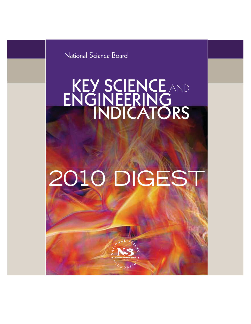National Science Board

## **INDICATORS KEY SCIENCE** AND **ENGINEERING**

# 2010 DIGEST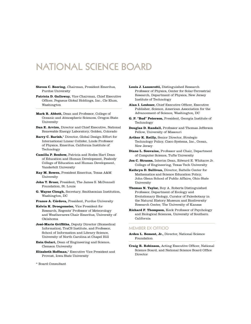### **NATIONAL SCIENCE BOARD**

- **Steven C. Beering,** Chairman, President Emeritus, Purdue University
- **Patricia D. Galloway,** Vice Chairman, Chief Executive Officer, Pegasus Global Holdings, Inc., Cle Elum, Washington
- **Mark R. Abbott,** Dean and Professor, College of Oceanic and Atmospheric Sciences, Oregon State University
- **Dan E. Arvizu,** Director and Chief Executive, National Renewable Energy Laboratory, Golden, Colorado
- **Barry C. Barish,**\* Director, Global Design Effort for International Linear Collider, Linde Professor of Physics, Emeritus, California Institute of Technology
- **Camilla P. Benbow,** Patricia and Rodes Hart Dean of Education and Human Development, Peabody College of Education and Human Development, Vanderbilt University
- **Ray M. Bowen,** President Emeritus, Texas A&M University
- **John T. Bruer,** President, The James S. McDonnell Foundation, St. Louis
- **G. Wayne Clough,** Secretary, Smithsonian Institution, Washington, DC
- **France A. Córdova,** President, Purdue University

**Kelvin K. Droegemeier,** Vice President for Research, Regents' Professor of Meteorology and Weathernews Chair Emeritus, University of Oklahoma

- **José-Marie Griffiths,** Deputy Director (Biomedical Informatics), TraCS Institute, and Professor, School of Information and Library Science, University of North Carolina at Chapel Hill
- **Esin Gulari,** Dean of Engineering and Science, Clemson University
- **Elizabeth Hoffman,**\* Executive Vice President and Provost, Iowa State University
- **Louis J. Lanzerotti,** Distinguished Research Professor of Physics, Center for Solar-Terrestrial Research, Department of Physics, New Jersey Institute of Technology
- **Alan I. Leshner,** Chief Executive Officer, Executive Publisher, Science, American Association for the Advancement of Science, Washington, DC
- **G. P. "Bud" Peterson,** President, Georgia Institute of Technology
- **Douglas D. Randall,** Professor and Thomas Jefferson Fellow, University of Missouri
- **Arthur K. Reilly,** Senior Director, Strategic Technology Policy, Cisco Systems, Inc., Ocean, New Jersey
- **Diane L. Souvaine,** Professor and Chair, Department of Computer Science, Tufts University
- **Jon C. Strauss,** Interim Dean, Edward E. Whitacre Jr. College of Engineering, Texas Tech University
- **Kathryn D. Sullivan,** Director, Battelle Center for Mathematics and Science Education Policy, John Glenn School of Public Affairs, Ohio State University
- **Thomas N. Taylor,** Roy A. Roberts Distinguished Professor, Department of Ecology and Evolutionary Biology, Curator of Paleobotany in the Natural History Museum and Biodiversity Research Center, The University of Kansas
- **Richard F. Thompson,** Keck Professor of Psychology and Biological Sciences, University of Southern California

#### **MEMBER EX OFFICIO**

- **Arden L. Bement, Jr.,** Director, National Science Foundation
- **Craig R. Robinson,** Acting Executive Officer, National Science Board, and National Science Board Office Director

\* Board Consultant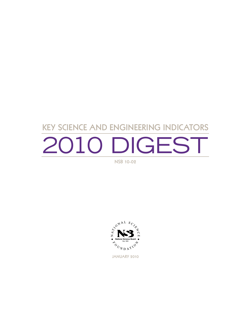# **KEY SCIENCE AND ENGINEERING INDICATORS** 2010 DIGEST

**NSB 10-02**



**JANUARY 2010**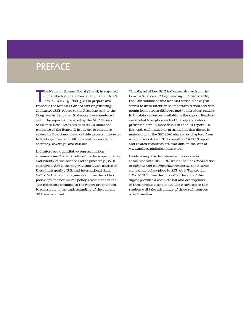### **PREFACE**

**T** he National Science Board (Board) is required under the National Science Foundation (NSF) Act, 42 U.S.C. § 1863 (j) (1) to prepare and transmit the biennial Science and Engineering Indicators (SEI) report to the President and to the Congress by January 15 of every even-numbered year. The report is prepared by the NSF Division of Science Resources Statistics (SRS) under the guidance of the Board. It is subject to extensive review by Board members, outside experts, interested federal agencies, and SRS internal reviewers for accuracy, coverage, and balance.

Indicators are quantitative representations summaries—of factors relevant to the scope, quality, and vitality of the science and engineering (S&E) enterprise. SEI is the major authoritative source of these high-quality U.S. and international data. SEI is factual and policy-neutral; it neither offers policy options nor makes policy recommendations. The indicators included in the report are intended to contribute to the understanding of the current S&E environment.

This digest of key S&E indicators draws from the Board's Science and Engineering Indicators 2010, the 19th volume of this biennial series. The digest serves to draw attention to important trends and data points from across SEI 2010 and to introduce readers to the data resources available in the report. Readers are invited to explore each of the key indicators presented here in more detail in the full report. To that end, each indicator presented in this digest is matched with the SEI 2010 chapter or chapters from which it was drawn. The complete SEI 2010 report and related resources are available on the Web at www.nsf.gov/statistics/indicators/.

Readers may also be interested in resources associated with SEI 2010, which include Globalization of Science and Engineering Research, the Board's companion policy piece to SEI 2010. The section "SEI 2010 Online Resources" at the end of this digest provides a complete list and descriptions of these products and tools. The Board hopes that readers will take advantage of these rich sources of information.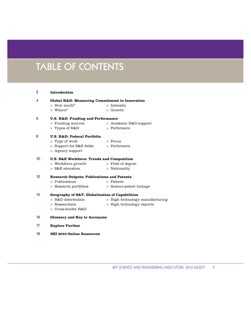### **TABLE OF CONTENTS**

| 2  | <b>Introduction</b>                                   |                                 |
|----|-------------------------------------------------------|---------------------------------|
| 4  | Global R&D: Measuring Commitment to Innovation        |                                 |
|    | $>$ How much?                                         | $>$ Intensity                   |
|    | > Where?                                              | $\frac{1}{2}$ Growth            |
| 6  | <b>U.S. R&amp;D: Funding and Performance</b>          |                                 |
|    | > Funding sources                                     | $>$ Academic R&D support        |
|    | $>$ Types of R&D                                      | > Performers                    |
| 8  | <b>U.S. R&amp;D: Federal Portfolio</b>                |                                 |
|    | > Type of work                                        | $>$ Focus                       |
|    | > Support for S&E fields                              | $>$ Performers                  |
|    | > Agency support                                      |                                 |
| 10 | <b>U.S. S&amp;E Workforce: Trends and Composition</b> |                                 |
|    | > Workforce growth                                    | > Field of degree               |
|    | $>$ S&E education                                     | > Nationality                   |
| 12 | <b>Research Outputs: Publications and Patents</b>     |                                 |
|    | $>$ Publications                                      | > Patents                       |
|    | > Research portfolios                                 | > Science-patent linkage        |
| 14 | Geography of S&T: Globalization of Capabilities       |                                 |
|    | $>$ R&D distribution                                  | > High technology manufacturing |
|    | $>$ Researchers                                       | > High technology exports       |
|    | $>$ Cross-border R&D                                  |                                 |
| 16 | <b>Glossary and Key to Acronyms</b>                   |                                 |
| 17 | <b>Explore Further</b>                                |                                 |

**18 SEI 2010 Online Resources**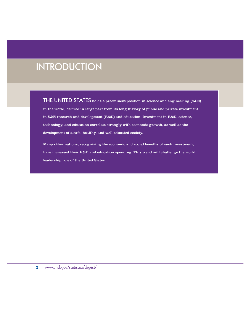### **INTRODUCTION**

**THE UNITED STATES** holds a preeminent position in science and engineering (S&E) in the world, derived in large part from its long history of public and private investment in S&E research and development (R&D) and education. Investment in R&D, science, technology, and education correlate strongly with economic growth, as well as the development of a safe, healthy, and well-educated society.

Many other nations, recognizing the economic and social benefits of such investment, have increased their R&D and education spending. This trend will challenge the world leadership role of the United States.

**2** www.nsf.gov/statistics/digest/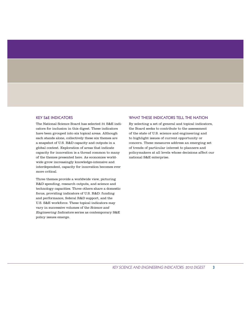#### **KEY S&E INDICATORS**

The National Science Board has selected 31 S&E indicators for inclusion in this digest. These indicators have been grouped into six topical areas. Although each stands alone, collectively these six themes are a snapshot of U.S. R&D capacity and outputs in a global context. Exploration of areas that indicate capacity for innovation is a thread common to many of the themes presented here. As economies worldwide grow increasingly knowledge-intensive and interdependent, capacity for innovation becomes ever more critical.

Three themes provide a worldwide view, picturing R&D spending, research outputs, and science and technology capacities. Three others share a domestic focus, providing indicators of U.S. R&D: funding and performance, federal R&D support, and the U.S. S&E workforce. These topical indicators may vary in successive volumes of the Science and Engineering Indicators series as contemporary S&E policy issues emerge.

#### **WHAT THESE INDICATORS TELL THE NATION**

By selecting a set of general and topical indicators, the Board seeks to contribute to the assessment of the state of U.S. science and engineering and to highlight issues of current opportunity or concern. These measures address an emerging set of trends of particular interest to planners and policymakers at all levels whose decisions affect our national S&E enterprise.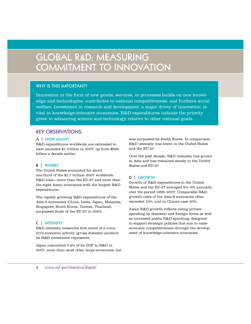### **GLOBAL R&D: MEASURING COMMITMENT TO INNOVATION**

#### **WHY IS THIS IMPORTANT?**

Innovation in the form of new goods, services, or processes builds on new knowledge and technologies, contributes to national competitiveness, and furthers social welfare. Investment in research and development, a major driver of innovation, is vital in knowledge-intensive economies. R&D expenditures indicate the priority given to advancing science and technology relative to other national goals.

#### **KEY OBSERVATIONS:**

#### **A | HOW MUCH?**

R&D expenditures worldwide are estimated to have exceeded \$1 trillion in 2007, up from \$525 billion a decade earlier.

#### **B | WHERE?**

The United States accounted for about one-third of the \$1.1 trillion 2007 worldwide R&D total—more than the EU-27 and more than the eight Asian economies with the largest R&D expenditures.

The rapidly growing R&D expenditures of the Asia-8 economies (China, India, Japan, Malaysia, Singapore, South Korea, Taiwan, Thailand) surpassed those of the EU-27 in 2003.

#### **C | INTENSITY**

R&D intensity measures how much of a country's economic activity (gross domestic product) its R&D investment represents.

Japan committed 3.4% of its GDP to R&D in 2007, more than most other large economies, but was surpassed by South Korea. In comparison, R&D intensity was lower in the United States and the EU-27.

Over the past decade, R&D intensity has grown in Asia and has remained steady in the United States and EU-27.

#### **D | GROWTH**

Growth of R&D expenditures in the United States and the EU-27 averaged 5%–6% annually over the period 1996–2007. Comparable R&D growth rates of the Asia-8 economies often exceeded 10%, and in China's case 20%.

Asian R&D growth reflects rising private spending by domestic and foreign firms as well as increased public R&D spending, designed to support strategic policies that aim to raise economic competitiveness through the development of knowledge-intensive economies.

**4** www.nsf.gov/statistics/digest/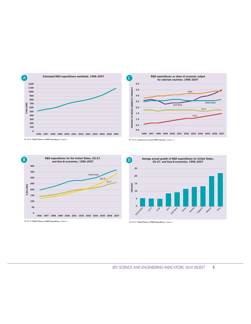



SEI 2010: **Global Patterns of R&D Expenditures,** Chapter 4.



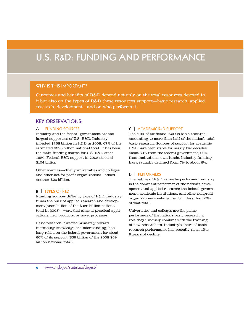### **U.S. R&D: FUNDING AND PERFORMANCE**

#### **WHY IS THIS IMPORTANT?**

Outcomes and benefits of R&D depend not only on the total resources devoted to it but also on the types of R&D these resources support—basic research, applied research, development—and on who performs it.

#### **KEY OBSERVATIONS:**

#### **A | FUNDING SOURCES**

Industry and the federal government are the largest supporters of U.S. R&D. Industry invested \$268 billion in R&D in 2008, 67% of the estimated \$398 billion national total. It has been the main funding source for U.S. R&D since 1980. Federal R&D support in 2008 stood at \$104 billion.

Other sources—chiefly universities and colleges and other not-for-profit organizations—added another \$26 billion.

#### **B | TYPES OF R&D**

Funding sources differ by type of R&D. Industry funds the bulk of applied research and development (\$256 billion of the \$328 billion national total in 2008)—work that aims at practical applications, new products, or novel processes.

Basic research, directed primarily toward increasing knowledge or understanding, has long relied on the federal government for about 60% of its support (\$39 billion of the 2008 \$69 billion national total).

#### **C | ACADEMIC R&D SUPPORT**

The bulk of academic R&D is basic research, amounting to more than half of the nation's total basic research. Sources of support for academic R&D have been stable for nearly two decades: about 60% from the federal government, 20% from institutions' own funds. Industry funding has gradually declined from 7% to about 6%.

#### **D | PERFORMERS**

The nature of R&D varies by performer. Industry is the dominant performer of the nation's development and applied research; the federal government, academic institutions, and other nonprofit organizations combined perform less than 20% of that total.

Universities and colleges are the prime performers of the nation's basic research, a role they uniquely combine with the training of new researchers. Industry's share of basic research performance has recently risen after 9 years of decline.

**6** www.nsf.gov/statistics/digest/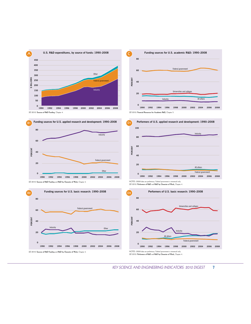

**0**

**20**

Industry

SEI 2010: **Sources of R&D Funding** and **R&D by Character of Work,** Chapter 4.

**20** Othe Industry

**1990 1992 1994 1996 1998 2000 2002 2004 2006 2008 0 1990 1992 1994 1996 1998 2000 2002 2004 2006 2008** Federal government All others

NOTES: 2008 data are preliminary. Federal government is intramural only. SEI 2010: **Performers of R&D** and **R&D by Character of Work,** Chapter 4.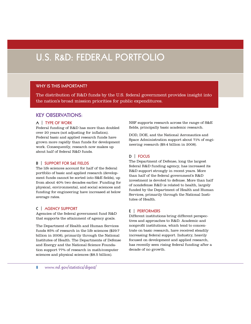### **U.S. R&D: FEDERAL PORTFOLIO**

#### **WHY IS THIS IMPORTANT?**

The distribution of R&D funds by the U.S. federal government provides insight into the nation's broad mission priorities for public expenditures.

#### **KEY OBSERVATIONS:**

#### **A | TYPE OF WORK**

Federal funding of R&D has more than doubled over 20 years (not adjusting for inflation). Federal basic and applied research funds have grown more rapidly than funds for development work. Consequently, research now makes up about half of federal R&D funds.

#### **B | SUPPORT FOR S&E FIELDS**

The life sciences account for half of the federal portfolio of basic and applied research (development funds cannot be sorted into S&E fields), up from about 40% two decades earlier. Funding for physical, environmental, and social sciences and funding for engineering have increased at below average rates.

#### **C | AGENCY SUPPORT**

Agencies of the federal government fund R&D that supports the attainment of agency goals.

The Department of Health and Human Services funds 85% of research in the life sciences (\$29.7 billion in 2008), primarily through the National Institutes of Health. The Departments of Defense and Energy and the National Science Foundation support 77% of research in math/computer sciences and physical sciences (\$8.5 billion).

NSF supports research across the range of S&E fields, principally basic academic research.

DOD, DOE, and the National Aeronautics and Space Administration support about 71% of engineering research (\$9.4 billion in 2008).

#### **D | FOCUS**

The Department of Defense, long the largest federal R&D funding agency, has increased its R&D support strongly in recent years. More than half of the federal government's R&D investment is devoted to defense. More than half of nondefense R&D is related to health, largely funded by the Department of Health and Human Services, primarily through the National Institutes of Health.

#### **E | PERFORMERS**

Different institutions bring different perspectives and approaches to R&D. Academic and nonprofit institutions, which tend to concentrate on basic research, have received steadily increasing federal support. Industry, heavily focused on development and applied research, has recently seen rising federal funding after a decade of no growth.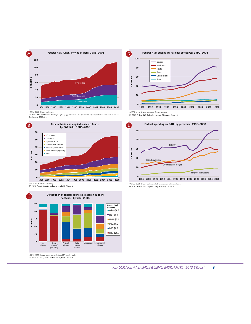







SEI 2010: **Federal Spending on Research by Field,** Chapter 4.



NOTE: 2008 data are preliminary; excludes ARRA stimulus funds. SEI 2010: **Federal Spending on Research by Field,** Chapter 4.



SEI 2010: **Federal R&D Budget by National Objectives,** Chapter 4.



NOTES: 2008 data are preliminary. Federal government is intramural only. SEI 2010: **Federal Spending on R&D by Performer,** Chapter 4.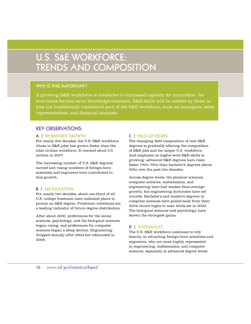### **U.S. S&E WORKFORCE: TRENDS AND COMPOSITION**

#### **WHY IS THIS IMPORTANT?**

A growing S&E workforce is conducive to increased capacity for innovation. As economies become more knowledge-intensive, S&E skills will be needed by those in jobs not traditionally considered part of the S&E workforce, such as managers, sales representatives, and financial analysts.

#### **KEY OBSERVATIONS:**

#### **A | WORKFORCE GROWTH**

For nearly five decades, the U.S. S&E workforce (those in S&E jobs) has grown faster than the total civilian workforce. It reached about 5.5 million in 2007.

The increasing number of U.S. S&E degrees earned and rising numbers of foreign-born scientists and engineers have contributed to this growth.

#### **B | S&E EDUCATION**

For nearly two decades, about one-third of all U.S. college freshmen have indicated plans to pursue an S&E degree. Freshman intentions are a leading indicator of future degree distribution.

After about 2000, preferences for the social sciences, psychology, and the biological sciences began rising, and preferences for computer sciences began a steep decline. Engineering dropped sharply after 2004 but rebounded in 2008.

#### **C | FIELD OF DEGREE**

The changing field composition of new S&E degrees is gradually altering the composition of S&E jobs and the larger U.S. workforce. And emphasis on higher-level S&E skills is growing: advanced S&E degrees have risen faster (70%–75%) than bachelor's degrees (about 50%) over the past two decades.

Across degree levels, the physical sciences, computer sciences, mathematics, and engineering have had weaker-than-average growth, but engineering doctorates have set records. Bachelor's and master's degrees in computer sciences have pulled back from their 2004 record highs to near levels set in 2000. The biological sciences and psychology have shown the strongest gains.

#### **D | NATIONALITY**

The U.S. S&E workforce continues to rely heavily on attracting foreign-born scientists and engineers, who are most highly represented in engineering, mathematics, and computer sciences, especially at advanced degree levels.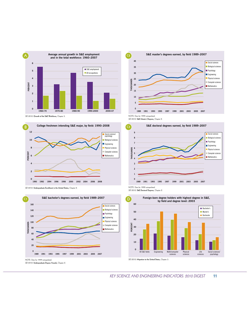

SEI 2010: **Growth of the S&E Workforce,** Chapter 3.



SEI 2010: **Undergraduate Enrollment in the United States,** Chapter 2.





SEI 2010: **S&E Master's Degrees,** Chapter 2.



NOTE: Data for 1999 extrapolated.

SEI 2010: **S&E Doctoral Degrees,** Chapter 2.



NOTE: Data for 1999 extrapolated. SEI 2010: **Undergraduate Degree Awards,** Chapter 2.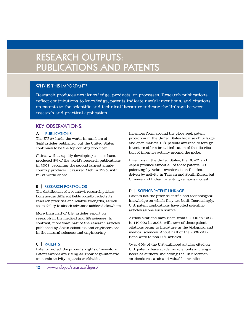### **RESEARCH OUTPUTS: PUBLICATIONS AND PATENTS**

#### **WHY IS THIS IMPORTANT?**

Research produces new knowledge, products, or processes. Research publications reflect contributions to knowledge, patents indicate useful inventions, and citations on patents to the scientific and technical literature indicate the linkage between research and practical application.

#### **KEY OBSERVATIONS:**

#### **A | PUBLICATIONS**

The EU-27 leads the world in numbers of S&E articles published, but the United States continues to be the top country producer.

China, with a rapidly developing science base, produced 8% of the world's research publications in 2008, becoming the second largest singlecountry producer. It ranked 14th in 1995, with 2% of world share.

#### **B | RESEARCH PORTFOLIOS**

The distribution of a country's research publications across different fields broadly reflects its research priorities and relative strengths, as well as its ability to absorb advances achieved elsewhere.

More than half of U.S. articles report on research in the medical and life sciences. In contrast, more than half of the research articles published by Asian scientists and engineers are in the natural sciences and engineering.

#### **C | PATENTS**

Patents protect the property rights of inventors. Patent awards are rising as knowledge-intensive economic activity expands worldwide.

Inventors from around the globe seek patent protection in the United States because of its large and open market. U.S. patents awarded to foreign inventors offer a broad indication of the distribution of inventive activity around the globe.

Inventors in the United States, the EU-27, and Japan produce almost all of these patents. U.S. patenting by Asian inventors is on the rise, driven by activity in Taiwan and South Korea, but Chinese and Indian patenting remains modest.

#### **D | SCIENCE-PATENT LINKAGE**

Patents list the prior scientific and technological knowledge on which they are built. Increasingly, U.S. patent applications have cited scientific articles as one such source.

Article citations have risen from 92,000 in 1998 to 110,000 in 2008, with 68% of these patent citations being to literature in the biological and medical sciences. About half of the 2008 citations were to non-U.S. articles.

Over 60% of the U.S.-authored articles cited on U.S. patents have academic scientists and engineers as authors, indicating the link between academic research and valuable inventions.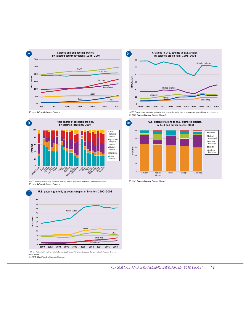

SEI 2010: **S&E Article Output,** Chapter 5.



NOTE: Natural sciences include astronomy, chemistry, physics, geosciences, mathematics, and computer sciences. SEI 2010: **S&E Article Output,** Chapter 5.



NOTES: "Other Asia" is China, India, Indonesia, South Korea, Philippines, Singapore, Taiwan, Thailand, Vietnam. Three-year moving average. SEI 2010: **Global Trends in Patenting,** Chapter 6.



SEI 2010: **Patent-to-Literature Citations,** Chapter 5.



SEI 2010: **Patent-to-Literature Citations,** Chapter 5.

KEY SCIENCE AND ENGINEERING INDICATORS: 2010 DIGEST **13**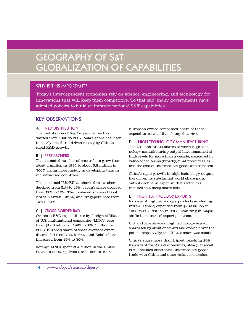### **GEOGRAPHY OF S&T: GLOBALIZATION OF CAPABILITIES**

#### **WHY IS THIS IMPORTANT?**

Today's interdependent economies rely on science, engineering, and technology for innovations that will keep them competitive. To that end, many governments have adopted policies to build or improve national S&T capabilities.

#### **KEY OBSERVATIONS:**

#### **A | R&D DISTRIBUTION**

The distribution of R&D expenditures has shifted from 1996 to 2007. Asia's share has risen to nearly one-third, driven mostly by China's rapid R&D growth.

#### **B | RESEARCHERS**

The estimated number of researchers grew from about 4 million in 1995 to about 5.8 million in 2007, rising more rapidly in developing than in industrialized countries.

The combined U.S./EU-27 share of researchers declined from 51% to 49%; Japan's share dropped from 17% to 12%. The combined shares of South Korea, Taiwan, China, and Singapore rose from 16% to 31%.

#### **C | CROSS-BORDER R&D**

Overseas R&D expenditures by foreign affiliates of U.S. multinational companies (MNCs) rose from \$12.6 billion in 1995 to \$28.5 billion in 2006. Europe's share of these overseas expenditures fell from 73% to 65%, and Asia's share increased from 15% to 20%.

Foreign MNCs spent \$34 billion in the United States in 2006, up from \$15 billion in 1995.

European-owned companies' share of these expenditures was little changed at 75%.

#### **D | HIGH TECHNOLOGY MANUFACTURING**

The U.S. and EU-20 shares of world high technology manufacturing output have remained at high levels for more than a decade, measured in value-added terms (broadly, final product sales less the cost of intermediate goods and services).

China's rapid growth in high-technology output has driven its substantial world share gain; output decline in Japan in that sector has resulted in a steep share loss.

#### **E | HIGH TECHNOLOGY EXPORTS**

Exports of high technology products (excluding intra-EU trade) expanded from \$732 billion in 1995 to \$2.3 trillion in 2008, resulting in major shifts in countries' export positions.

U.S. and Japan's world high technology export shares fell by about one-third and one-half over the period, respectively; the EU-27's share was stable.

China's share more than tripled, reaching 20%. Exports of the Asia-8 economies, steady at about 28%, included substantial intermediate goods trade with China and other Asian economies.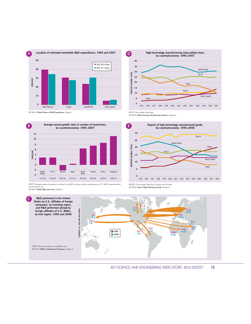



SEI 2010: **Global Patterns of R&D Expenditures,** Chapter 4.



NOTE: Estimated number of researchers (in millions) is for 2007 and shown below country/economy. U.S. 2007 estimate based on long-term growth rate. SEI 2010: **Global S&E Labor Force,** Chapter 3.





NOTES: China includes Hong Kong. Excludes intra-EU trade. SEI 2010: **Trade of High-Technology Goods,** Chapter 6.

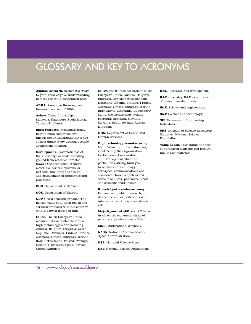### **GLOSSARY AND KEY TO ACRONYMS**

**Applied research.** Systematic study to gain knowledge or understanding to meet a specific, recognized need.

**ARRA.** American Recovery and Reinvestment Act of 2009.

**Asia-8.** China, India, Japan, Malaysia, Singapore, South Korea, Taiwan, Thailand.

**Basic research.** Systematic study to gain more comprehensive knowledge or understanding of the subject under study without specific applications in mind.

**Development.** Systematic use of the knowledge or understanding gained from research directed toward the production of useful materials, devices, systems, or methods, including the design and development of prototypes and processes.

**DOD.** Department of Defense.

**DOE.** Department of Energy.

**GDP.** Gross domestic product. The market value of all final goods and services produced within a country within a given period of time.

**EU-20.** The 20 European Union member nations with substantial high technology manufacturing: Austria, Belgium, Bulgaria, Czech Republic, Denmark, Finland, France, Germany, Greece, Hungary, Ireland, Italy, Netherlands, Poland, Portugal, Romania, Slovakia, Spain, Sweden, United Kingdom.

**EU-27.** The 27 member nations of the European Union: Austria, Belgium, Bulgaria, Cyprus, Czech Republic, Denmark, Estonia, Finland, France, Germany, Greece, Hungary, Ireland, Italy, Latvia, Lithuania, Luxemburg, Malta, the Netherlands, Poland, Portugal, Romania, Slovakia, Slovenia, Spain, Sweden, United Kingdom.

**HHS.** Department of Health and Human Services.

**High technology manufacturing.**

Manufacturing in five industries, identified by the Organization for Economic Co-operation and Development, that have particularly strong linkages to science and technology: aerospace, communications and semiconductors, computers and office machinery, pharmaceuticals, and scientific instruments.

#### **Knowledge-intensive economy.**

Economies in which research, its commercial exploitation, and intellectual work play a substantial role.

**Majority-owned affiliate.** Affiliates in which the ownership stake of parent companies exceeds 50%.

**MNC.** Multinational company.

**NASA.** National Aeronautics and Space Administration.

**NSB.** National Science Board.

**NSF.** National Science Foundation.

**R&D.** Research and development.

**R&D intensity.** R&D as a proportion of gross domestic product.

**S&E.** Science and engineering.

**S&T.** Science and technology.

**SEI.** Science and Engineering Indicators.

**SRS.** Division of Science Resources Statistics, National Science Foundation.

**Value-added.** Sales minus the cost of purchased domestic and foreign inputs and materials.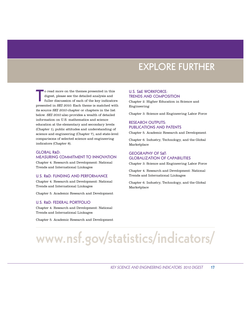### **EXPLORE FURTHER**

**T** o read more on the themes presented in this digest, please see the detailed analysis and fuller discussion of each of the key indicators presented in SEI 2010. Each theme is matched with its source SEI 2010 chapter or chapters in the list below. SEI 2010 also provides a wealth of detailed information on U.S. mathematics and science education at the elementary and secondary levels (Chapter 1), public attitudes and understanding of science and engineering (Chapter 7), and state-level comparisons of selected science and engineering indicators (Chapter 8).

#### **GLOBAL R&D: MEASURING COMMITMENT TO INNOVATION**

Chapter 4. Research and Development: National Trends and International Linkages

#### **U.S. R&D: FUNDING AND PERFORMANCE**

Chapter 4. Research and Development: National Trends and International Linkages

Chapter 5. Academic Research and Development

#### **U.S. R&D: FEDERAL PORTFOLIO**

Chapter 4. Research and Development: National Trends and International Linkages

Chapter 5. Academic Research and Development

#### **U.S. S&E WORKFORCE: TRENDS AND COMPOSITION**

Chapter 2. Higher Education in Science and Engineering

Chapter 3. Science and Engineering Labor Force

#### **RESEARCH OUTPUTS: PUBLICATIONS AND PATENTS**

Chapter 5. Academic Research and Development

Chapter 6. Industry, Technology, and the Global Marketplace

#### **GEOGRAPHY OF S&T: GLOBALIZATION OF CAPABILITIES**

Chapter 3. Science and Engineering Labor Force

Chapter 4. Research and Development: National Trends and International Linkages

Chapter 6. Industry, Technology, and the Global Marketplace

# **www.nsf.gov/statistics/indicators/**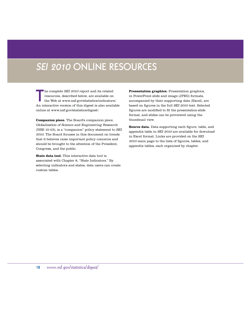### **SEI 2010 ONLINE RESOURCES**

**T** he complete SEI 2010 report and its related resources, described below, are available on the Web at www.nsf.gov/statistics/indicators/. An interactive version of this digest is also available online at www.nsf.gov/statistics/digest/.

**Companion piece.** The Board's companion piece, Globalization of Science and Engineering Research (NSB 10-03), is a "companion" policy statement to SEI <sup>2010</sup>. The Board focuses in this document on trends that it believes raise important policy concerns and should be brought to the attention of the President, Congress, and the public.

**State data tool.** This interactive data tool is associated with Chapter 8, "State Indicators." By selecting indicators and states, data users can create custom tables.

**Presentation graphics.** Presentation graphics, in PowerPoint slide and image (JPEG) formats, accompanied by their supporting data (Excel), are based on figures in the full SEI 2010 text. Selected figures are modified to fit the presentation-slide format, and slides can be previewed using the thumbnail view.

**Source data.** Data supporting each figure, table, and appendix table in SEI 2010 are available for download in Excel format. Links are provided on the SEI <sup>2010</sup> main page to the lists of figures, tables, and appendix tables, each organized by chapter.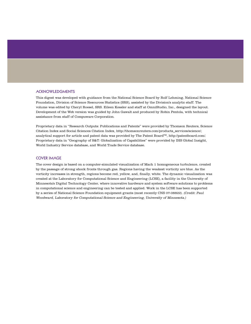#### **ACKNOWLEDGMENTS**

This digest was developed with guidance from the National Science Board by Rolf Lehming, National Science Foundation, Division of Science Resources Statistics (SRS), assisted by the Division's analytic staff. The volume was edited by Cheryl Roesel, SRS. Eileen Kessler and staff at OmniStudio, Inc., designed the layout. Development of the Web version was guided by John Gawalt and produced by Robin Pentola, with technical assistance from staff of Compuware Corporation.

Proprietary data in "Research Outputs: Publications and Patents" were provided by Thomson Reuters, Science Citation Index and Social Sciences Citation Index, http://thomsonreuters.com/products\_services/science/; analytical support for article and patent data was provided by The Patent Board<sup>TM</sup>, http://patentboard.com/. Proprietary data in "Geography of S&T: Globalization of Capabilities" were provided by IHS Global Insight, World Industry Service database, and World Trade Service database.

#### **COVER IMAGE**

The cover design is based on a computer-simulated visualization of Mach 1 homogeneous turbulence, created by the passage of strong shock fronts through gas. Regions having the weakest vorticity are blue. As the vorticity increases in strength, regions become red, yellow, and, finally, white. The dynamic visualization was created at the Laboratory for Computational Science and Engineering (LCSE), a facility in the University of Minnesota's Digital Technology Center, where innovative hardware and system software solutions to problems in computational science and engineering can be tested and applied. Work in the LCSE has been supported by a series of National Science Foundation equipment grants (most recently CNS 07-08822). (Credit: Paul Woodward, Laboratory for Computational Science and Engineering, University of Minnesota.)